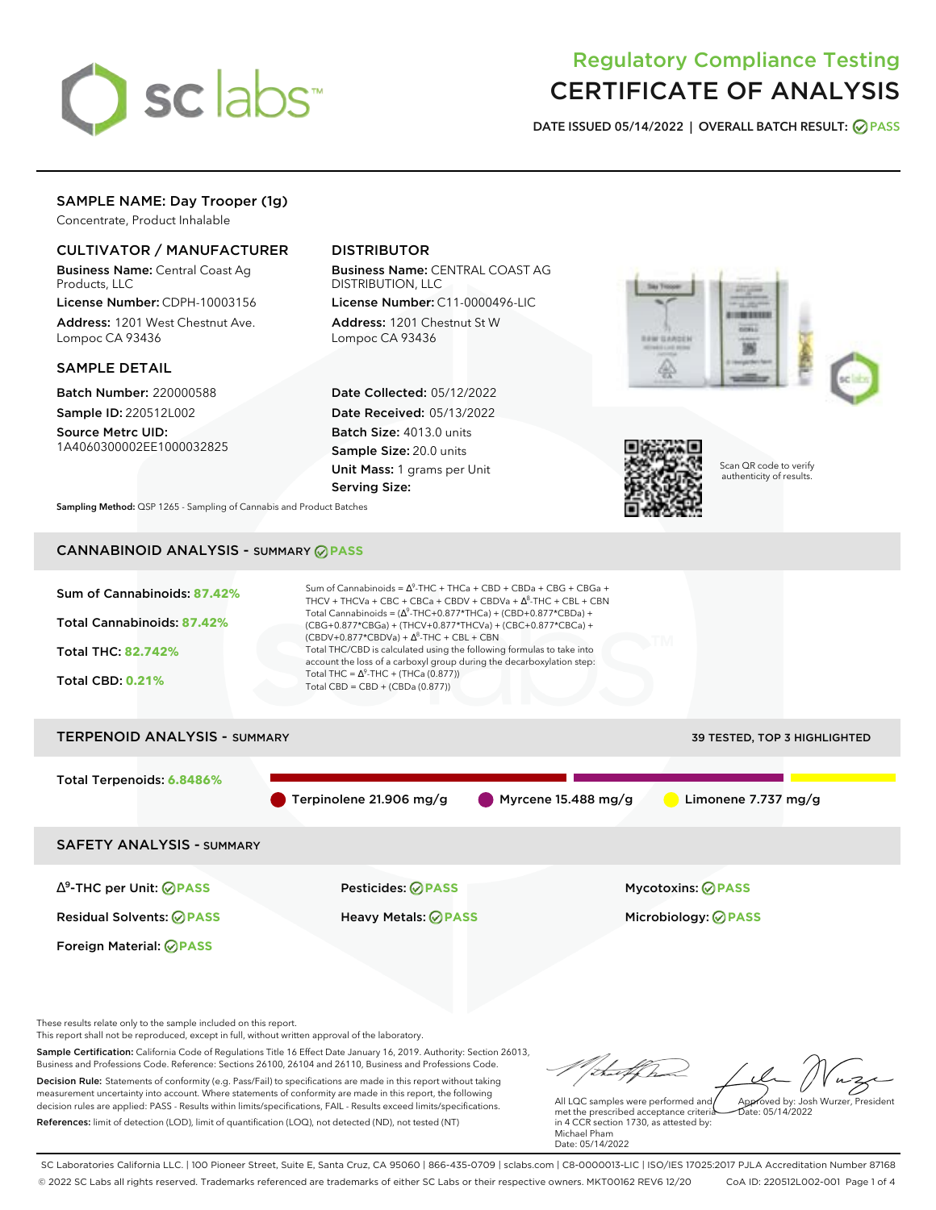

# Regulatory Compliance Testing CERTIFICATE OF ANALYSIS

**DATE ISSUED 05/14/2022 | OVERALL BATCH RESULT: PASS**

# SAMPLE NAME: Day Trooper (1g)

Concentrate, Product Inhalable

# CULTIVATOR / MANUFACTURER

Business Name: Central Coast Ag Products, LLC

License Number: CDPH-10003156 Address: 1201 West Chestnut Ave. Lompoc CA 93436

### SAMPLE DETAIL

Batch Number: 220000588 Sample ID: 220512L002

Source Metrc UID: 1A4060300002EE1000032825

# DISTRIBUTOR

Business Name: CENTRAL COAST AG DISTRIBUTION, LLC

License Number: C11-0000496-LIC Address: 1201 Chestnut St W Lompoc CA 93436

Date Collected: 05/12/2022 Date Received: 05/13/2022 Batch Size: 4013.0 units Sample Size: 20.0 units Unit Mass: 1 grams per Unit Serving Size:





Scan QR code to verify authenticity of results.

**Sampling Method:** QSP 1265 - Sampling of Cannabis and Product Batches

# CANNABINOID ANALYSIS - SUMMARY **PASS**



Sample Certification: California Code of Regulations Title 16 Effect Date January 16, 2019. Authority: Section 26013,

Business and Professions Code. Reference: Sections 26100, 26104 and 26110, Business and Professions Code. Decision Rule: Statements of conformity (e.g. Pass/Fail) to specifications are made in this report without taking measurement uncertainty into account. Where statements of conformity are made in this report, the following decision rules are applied: PASS - Results within limits/specifications, FAIL - Results exceed limits/specifications. References: limit of detection (LOD), limit of quantification (LOQ), not detected (ND), not tested (NT)

Approved by: Josh Wurzer, President

 $hat: 05/14/2022$ 

All LQC samples were performed and met the prescribed acceptance criteria in 4 CCR section 1730, as attested by: Michael Pham Date: 05/14/2022

SC Laboratories California LLC. | 100 Pioneer Street, Suite E, Santa Cruz, CA 95060 | 866-435-0709 | sclabs.com | C8-0000013-LIC | ISO/IES 17025:2017 PJLA Accreditation Number 87168 © 2022 SC Labs all rights reserved. Trademarks referenced are trademarks of either SC Labs or their respective owners. MKT00162 REV6 12/20 CoA ID: 220512L002-001 Page 1 of 4